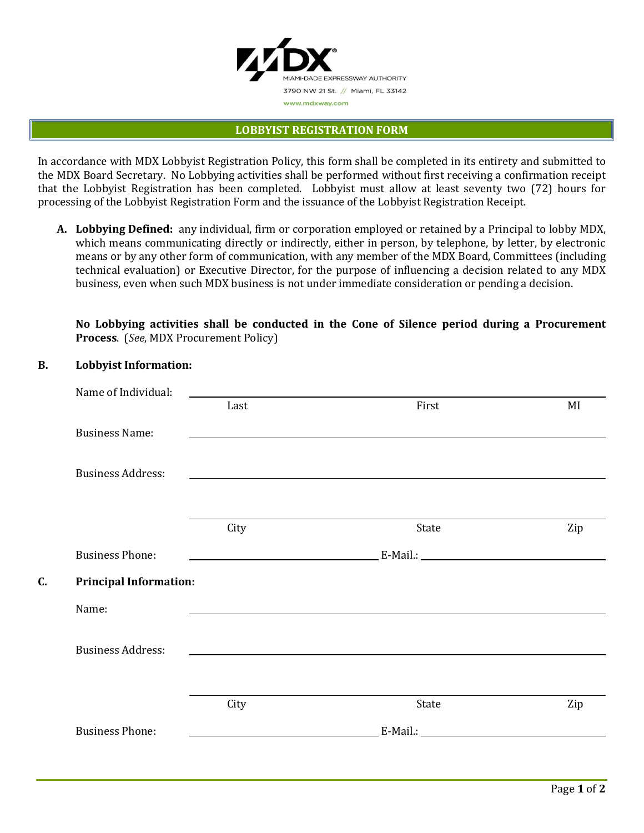

#### **LOBBYIST REGISTRATION FORM**

In accordance with MDX Lobbyist Registration Policy, this form shall be completed in its entirety and submitted to the MDX Board Secretary. No Lobbying activities shall be performed without first receiving a confirmation receipt that the Lobbyist Registration has been completed. Lobbyist must allow at least seventy two (72) hours for processing of the Lobbyist Registration Form and the issuance of the Lobbyist Registration Receipt.

**A. Lobbying Defined:** any individual, firm or corporation employed or retained by a Principal to lobby MDX, which means communicating directly or indirectly, either in person, by telephone, by letter, by electronic means or by any other form of communication, with any member of the MDX Board, Committees (including technical evaluation) or Executive Director, for the purpose of influencing a decision related to any MDX business, even when such MDX business is not under immediate consideration or pending a decision.

**No Lobbying activities shall be conducted in the Cone of Silence period during a Procurement Process**. (*See*, MDX Procurement Policy)

### **B. Lobbyist Information:**

| Name of Individual:                 |      |                                                                                                                                                                                                                                      |     |
|-------------------------------------|------|--------------------------------------------------------------------------------------------------------------------------------------------------------------------------------------------------------------------------------------|-----|
|                                     | Last | First                                                                                                                                                                                                                                | MI  |
| <b>Business Name:</b>               |      |                                                                                                                                                                                                                                      |     |
| <b>Business Address:</b>            |      |                                                                                                                                                                                                                                      |     |
|                                     | City | State                                                                                                                                                                                                                                | Zip |
| <b>Business Phone:</b>              |      |                                                                                                                                                                                                                                      |     |
| C.<br><b>Principal Information:</b> |      |                                                                                                                                                                                                                                      |     |
| Name:                               |      |                                                                                                                                                                                                                                      |     |
| <b>Business Address:</b>            |      |                                                                                                                                                                                                                                      |     |
|                                     | City | State                                                                                                                                                                                                                                | Zip |
| <b>Business Phone:</b>              |      | <u>E-Mail.: E-Mail.: E-Mail and the Community of the Community of the Community of the Community of the Community of the Community of the Community of the Community of the Community of the Community of the Community of the C</u> |     |